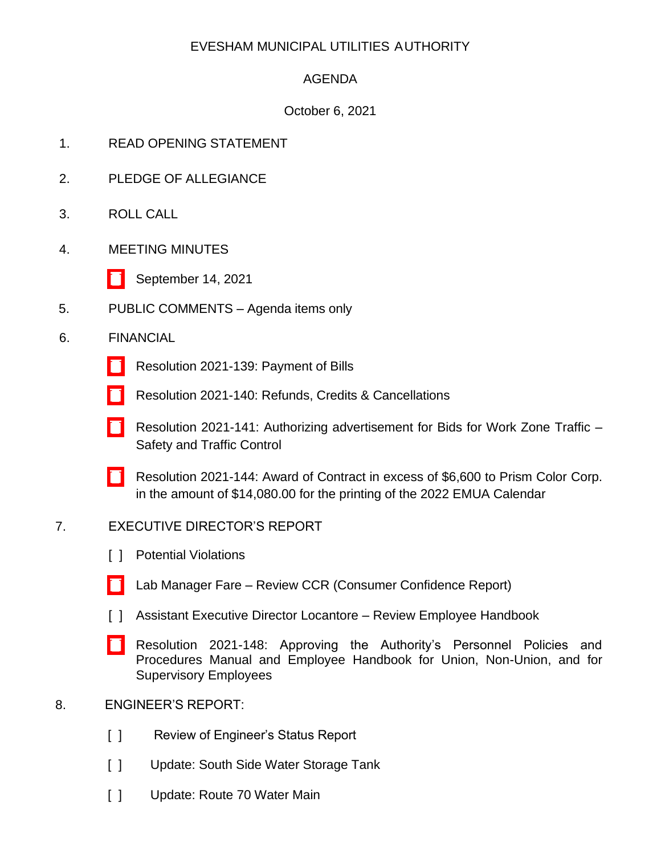## EVESHAM MUNICIPAL UTILITIES AUTHORITY

## AGENDA

## October 6, 2021

- 1. READ OPENING STATEMENT
- 2. PLEDGE OF ALLEGIANCE
- 3. ROLL CALL
- 4. MEETING MINUTES
	- [\[ \]](http://www.eveshammua.com/wp-content/uploads/2021/10/Minutes-9-14-2021.pdf) September 14, 2021
- 5. PUBLIC COMMENTS Agenda items only
- 6. FINANCIAL
	- [\[ \]](http://www.eveshammua.com/wp-content/uploads/2021/10/Resolution-2021-139-Bill-List.pdf) Resolution 2021-139: Payment of Bills
	- [\[ \]](http://www.eveshammua.com/wp-content/uploads/2021/10/Resolution-2021-140-REFUNDS-.pdf) Resolution 2021-140: Refunds, Credits & Cancellations
	- [\[ \]](http://www.eveshammua.com/wp-content/uploads/2021/10/Resolution-2021-141-Authorize-advertisement-for-Bids-from-Authority-Work-Zone.pdf) Resolution 2021-141: Authorizing advertisement for Bids for Work Zone Traffic Safety and Traffic Control
	- [\[ \]](http://www.eveshammua.com/wp-content/uploads/2021/10/Resolution-2021-144-Prism-Color-Corp.pdf) Resolution 2021-144: Award of Contract in excess of \$6,600 to Prism Color Corp. in the amount of \$14,080.00 for the printing of the 2022 EMUA Calendar

### 7. EXECUTIVE DIRECTOR'S REPORT

- [ ] Potential Violations
- [\[ \]](http://www.eveshammua.com/wp-content/uploads/2021/06/21-CCR.pdf) Lab Manager Fare Review CCR (Consumer Confidence Report)
- [ ] Assistant Executive Director Locantore Review Employee Handbook
- [\[ \]](http://www.eveshammua.com/wp-content/uploads/2021/10/Resolution-2021-148-Personnel-policies-Employee-Handbook.pdf) Resolution 2021-148: Approving the Authority's Personnel Policies and Procedures Manual and Employee Handbook for Union, Non-Union, and for Supervisory Employees
- 8. ENGINEER'S REPORT:
	- [ ] Review of Engineer's Status Report
	- [ ] Update: South Side Water Storage Tank
	- [ ] Update: Route 70 Water Main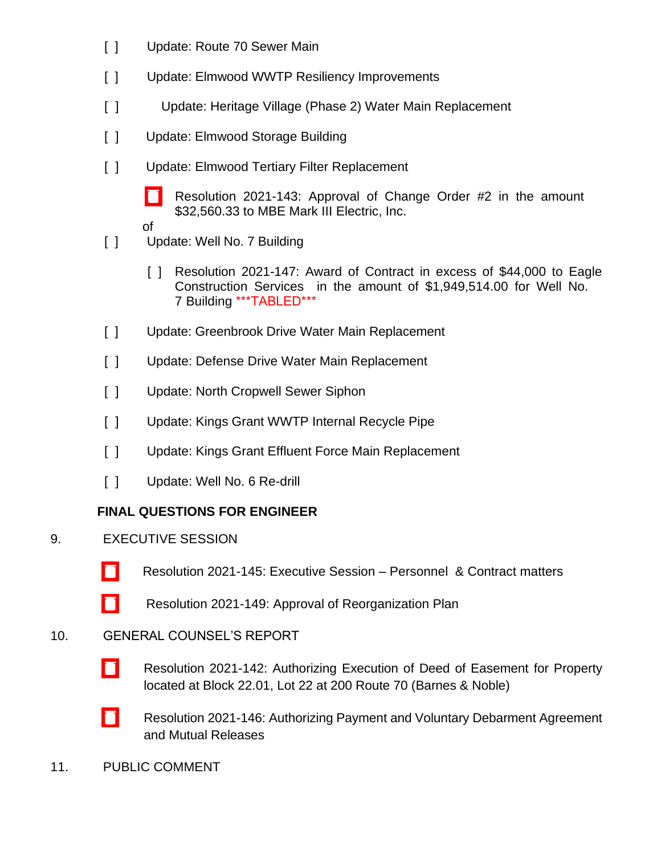- $[ ]$ Update: Route 70 Sewer Main
- $\Box$ Update: Elmwood WWTP Resiliency Improvements
- $[ ]$ Update: Heritage Village (Phase 2) Water Main Replacement
- $[ ]$ Update: Elmwood Storage Building
- $\lceil$   $\rceil$ Update: Elmwood Tertiary Filter Replacement
	- [\[ \]](http://www.eveshammua.com/wp-content/uploads/2021/10/Resolution-2021-143-Elmwood-Filter-Change-Order-for-Board.pdf) Resolution 2021-143: Approval of Change Order #2 in the amount \$32,560.33 to MBE Mark III Electric, Inc.
	- of
- [ ] Update: Well No. 7 Building
	- [ ] Resolution 2021-147: Award of Contract in excess of \$44,000 to Eagle Construction Services in the amount of \$1,949,514.00 for Well No. 7 Building \*\*\*TABLED\*\*\*
- [ ] Update: Greenbrook Drive Water Main Replacement
- [ ] Update: Defense Drive Water Main Replacement
- [ ] Update: North Cropwell Sewer Siphon
- [ ] Update: Kings Grant WWTP Internal Recycle Pipe
- [ ] Update: Kings Grant Effluent Force Main Replacement
- [ ] Update: Well No. 6 Re-drill

# **FINAL QUESTIONS FOR ENGINEER**

- 9. EXECUTIVE SESSION
	- [\[ \]](http://www.eveshammua.com/wp-content/uploads/2021/10/Resolution-2021-145-Executive-Session-.pdf) Resolution 2021-145: Executive Session Personnel & Contract matters
	- [\[ \]](http://www.eveshammua.com/wp-content/uploads/2021/10/Resolution-2021-149-Reorg-Plan-with-attachment.pdf) Resolution 2021-149: Approval of Reorganization Plan

### 10. GENERAL COUNSEL'S REPORT

- [\[ \]](http://www.eveshammua.com/wp-content/uploads/2021/10/Resolution-2021-142-BarnesNoble-re_authorize-execution-of-Deed-of-Easement.pdf) Resolution 2021-142: Authorizing Execution of Deed of Easement for Property located at Block 22.01, Lot 22 at 200 Route 70 (Barnes & Noble)
- [\[ \]](http://www.eveshammua.com/wp-content/uploads/2021/10/Resolution-2021-146-RTW-Payment-and-Voluntary-Debarment-Agr.-and-Mutual-Releases-4825-2875-8269.pdf) Resolution 2021-146: Authorizing Payment and Voluntary Debarment Agreement and Mutual Releases
- 11. PUBLIC COMMENT